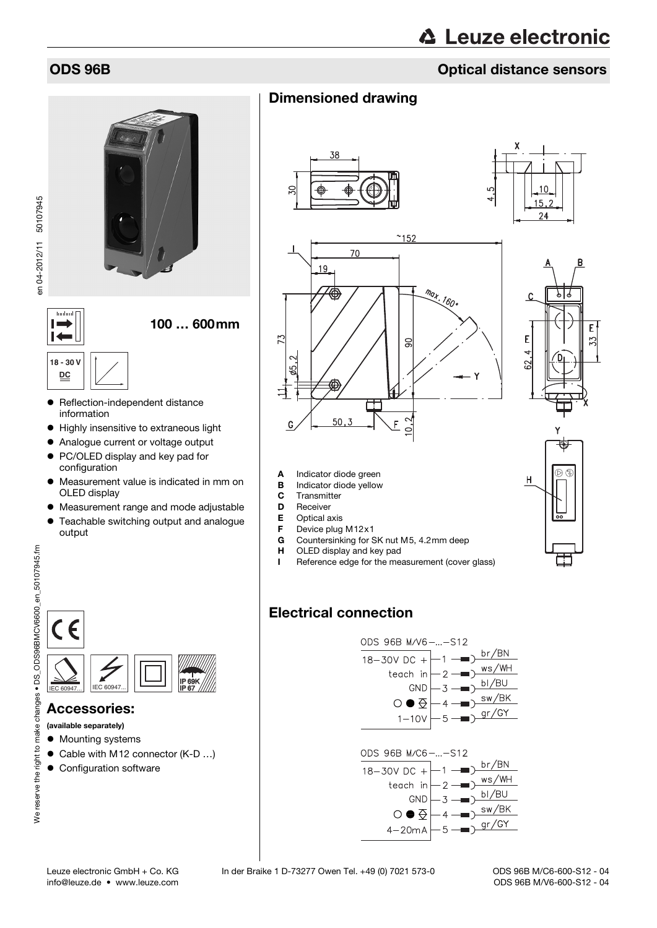## ODS 96B Optical distance sensors

## Dimensioned drawing















- **B** Indicator diode yellow
- C Transmitter
- D Receiver
- 
- **E** Optical axis<br>**F** Device plug
- **F** Device plug M12 $\times$ 1<br>**G** Countersinking for S Countersinking for SK nut M5, 4.2mm deep
- **H** OLED display and key pad
- I Reference edge for the measurement (cover glass)

# Electrical connection





#### Accessories:

(available separately)

- $\bullet$  Mounting systems
- Cable with M12 connector (K-D ...)
- **Configuration software**

 $\overline{1}$ **18 - 30 V DC**

**Turrlin**  $\mathbf{I}$ 

- Reflection-independent distance information
- Highly insensitive to extraneous light
- Analogue current or voltage output
- PC/OLED display and key pad for configuration
- Measurement value is indicated in mm on OLED display

100 … 600mm

- Measurement range and mode adjustable
- Teachable switching output and analogue output

changes • DS ODS96BMCV6600 en 50107945.fm We reserve the right to make changes • DS\_ODS96BMCV6600\_en\_50107945.fm We reserve the right to make